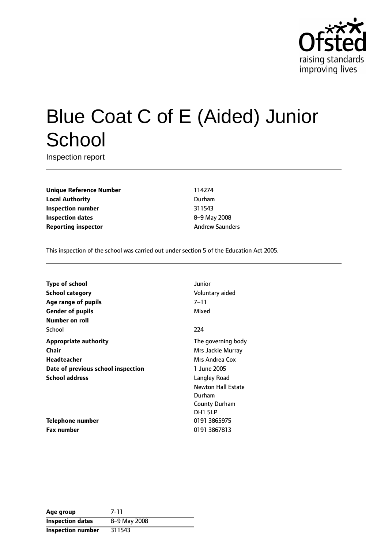

# Blue Coat C of E (Aided) Junior **School**

Inspection report

**Unique Reference Number** 114274 **Local Authority** Durham **Inspection number** 311543 **Inspection dates** 8-9 May 2008 **Reporting inspector** Andrew Saunders

This inspection of the school was carried out under section 5 of the Education Act 2005.

| Junior                    |
|---------------------------|
| Voluntary aided           |
| 7–11                      |
| Mixed                     |
|                           |
| 224                       |
| The governing body        |
| Mrs Jackie Murray         |
| Mrs Andrea Cox            |
| 1 June 2005               |
| Langley Road              |
| <b>Newton Hall Estate</b> |
| Durham                    |
| <b>County Durham</b>      |
| DH <sub>1</sub> 5LP       |
| 0191 3865975              |
| 0191 3867813              |
|                           |

| Age group                | 7-11         |
|--------------------------|--------------|
| <b>Inspection dates</b>  | 8-9 May 2008 |
| <b>Inspection number</b> | 311543       |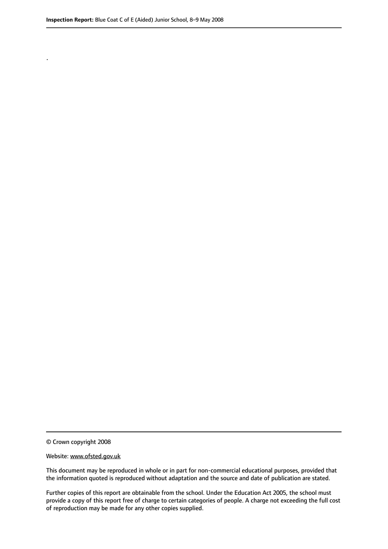.

© Crown copyright 2008

#### Website: www.ofsted.gov.uk

This document may be reproduced in whole or in part for non-commercial educational purposes, provided that the information quoted is reproduced without adaptation and the source and date of publication are stated.

Further copies of this report are obtainable from the school. Under the Education Act 2005, the school must provide a copy of this report free of charge to certain categories of people. A charge not exceeding the full cost of reproduction may be made for any other copies supplied.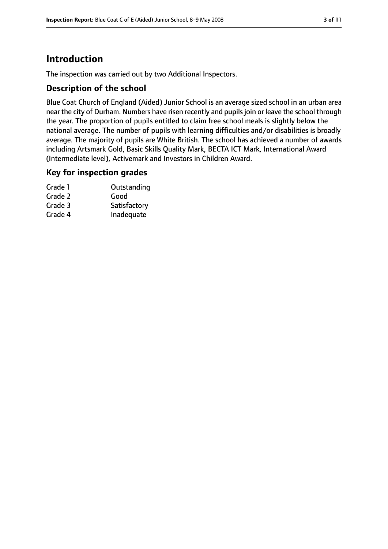# **Introduction**

The inspection was carried out by two Additional Inspectors.

### **Description of the school**

Blue Coat Church of England (Aided) Junior School is an average sized school in an urban area near the city of Durham. Numbers have risen recently and pupils join or leave the school through the year. The proportion of pupils entitled to claim free school meals is slightly below the national average. The number of pupils with learning difficulties and/or disabilities is broadly average. The majority of pupils are White British. The school has achieved a number of awards including Artsmark Gold, Basic Skills Quality Mark, BECTA ICT Mark, International Award (Intermediate level), Activemark and Investors in Children Award.

#### **Key for inspection grades**

| Grade 1 | Outstanding  |
|---------|--------------|
| Grade 2 | Good         |
| Grade 3 | Satisfactory |
| Grade 4 | Inadequate   |
|         |              |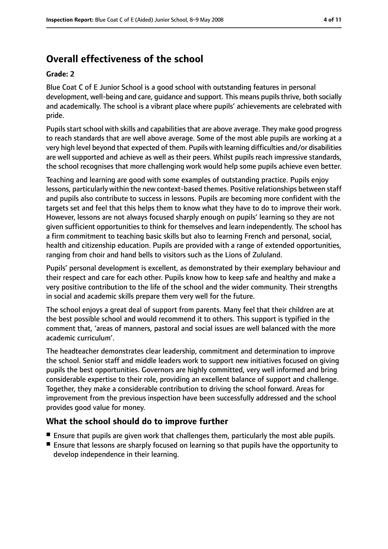# **Overall effectiveness of the school**

#### **Grade: 2**

Blue Coat C of E Junior School is a good school with outstanding features in personal development, well-being and care, guidance and support. This means pupils thrive, both socially and academically. The school is a vibrant place where pupils' achievements are celebrated with pride.

Pupils start school with skills and capabilities that are above average. They make good progress to reach standards that are well above average. Some of the most able pupils are working at a very high level beyond that expected of them. Pupils with learning difficulties and/or disabilities are well supported and achieve as well as their peers. Whilst pupils reach impressive standards, the school recognises that more challenging work would help some pupils achieve even better.

Teaching and learning are good with some examples of outstanding practice. Pupils enjoy lessons, particularly within the new context-based themes. Positive relationships between staff and pupils also contribute to success in lessons. Pupils are becoming more confident with the targets set and feel that this helps them to know what they have to do to improve their work. However, lessons are not always focused sharply enough on pupils' learning so they are not given sufficient opportunities to think for themselves and learn independently. The school has a firm commitment to teaching basic skills but also to learning French and personal, social, health and citizenship education. Pupils are provided with a range of extended opportunities, ranging from choir and hand bells to visitors such as the Lions of Zululand.

Pupils' personal development is excellent, as demonstrated by their exemplary behaviour and their respect and care for each other. Pupils know how to keep safe and healthy and make a very positive contribution to the life of the school and the wider community. Their strengths in social and academic skills prepare them very well for the future.

The school enjoys a great deal of support from parents. Many feel that their children are at the best possible school and would recommend it to others. This support is typified in the comment that, 'areas of manners, pastoral and social issues are well balanced with the more academic curriculum'.

The headteacher demonstrates clear leadership, commitment and determination to improve the school. Senior staff and middle leaders work to support new initiatives focused on giving pupils the best opportunities. Governors are highly committed, very well informed and bring considerable expertise to their role, providing an excellent balance of support and challenge. Together, they make a considerable contribution to driving the school forward. Areas for improvement from the previous inspection have been successfully addressed and the school provides good value for money.

#### **What the school should do to improve further**

- Ensure that pupils are given work that challenges them, particularly the most able pupils.
- Ensure that lessons are sharply focused on learning so that pupils have the opportunity to develop independence in their learning.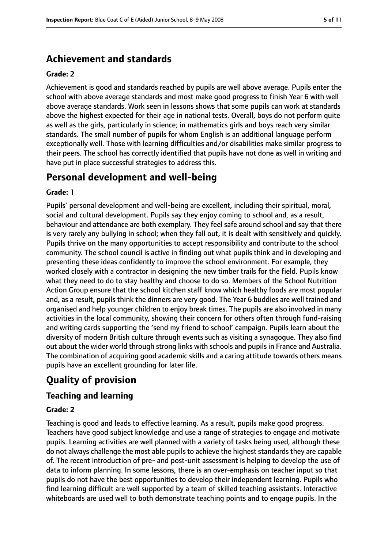# **Achievement and standards**

#### **Grade: 2**

Achievement is good and standards reached by pupils are well above average. Pupils enter the school with above average standards and most make good progress to finish Year 6 with well above average standards. Work seen in lessons shows that some pupils can work at standards above the highest expected for their age in national tests. Overall, boys do not perform quite as well as the girls, particularly in science; in mathematics girls and boys reach very similar standards. The small number of pupils for whom English is an additional language perform exceptionally well. Those with learning difficulties and/or disabilities make similar progress to their peers. The school has correctly identified that pupils have not done as well in writing and have put in place successful strategies to address this.

# **Personal development and well-being**

#### **Grade: 1**

Pupils' personal development and well-being are excellent, including their spiritual, moral, social and cultural development. Pupils say they enjoy coming to school and, as a result, behaviour and attendance are both exemplary. They feel safe around school and say that there is very rarely any bullying in school; when they fall out, it is dealt with sensitively and quickly. Pupils thrive on the many opportunities to accept responsibility and contribute to the school community. The school council is active in finding out what pupils think and in developing and presenting these ideas confidently to improve the school environment. For example, they worked closely with a contractor in designing the new timber trails for the field. Pupils know what they need to do to stay healthy and choose to do so. Members of the School Nutrition Action Group ensure that the school kitchen staff know which healthy foods are most popular and, as a result, pupils think the dinners are very good. The Year 6 buddies are well trained and organised and help younger children to enjoy break times. The pupils are also involved in many activities in the local community, showing their concern for others often through fund-raising and writing cards supporting the 'send my friend to school' campaign. Pupils learn about the diversity of modern British culture through events such as visiting a synagogue. They also find out about the wider world through strong links with schools and pupils in France and Australia. The combination of acquiring good academic skills and a caring attitude towards others means pupils have an excellent grounding for later life.

# **Quality of provision**

## **Teaching and learning**

#### **Grade: 2**

Teaching is good and leads to effective learning. As a result, pupils make good progress. Teachers have good subject knowledge and use a range of strategies to engage and motivate pupils. Learning activities are well planned with a variety of tasks being used, although these do not always challenge the most able pupils to achieve the highest standards they are capable of. The recent introduction of pre- and post-unit assessment is helping to develop the use of data to inform planning. In some lessons, there is an over-emphasis on teacher input so that pupils do not have the best opportunities to develop their independent learning. Pupils who find learning difficult are well supported by a team of skilled teaching assistants. Interactive whiteboards are used well to both demonstrate teaching points and to engage pupils. In the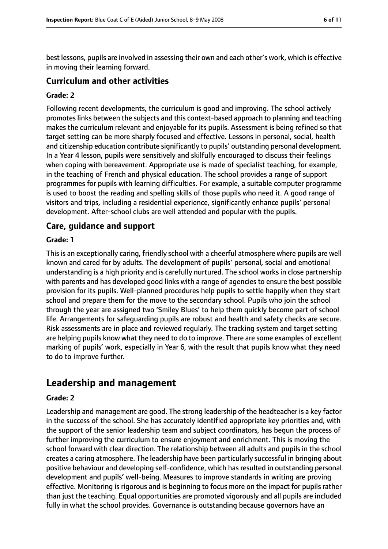best lessons, pupils are involved in assessing their own and each other's work, which is effective in moving their learning forward.

#### **Curriculum and other activities**

#### **Grade: 2**

Following recent developments, the curriculum is good and improving. The school actively promotes links between the subjects and this context-based approach to planning and teaching makes the curriculum relevant and enjoyable for its pupils. Assessment is being refined so that target setting can be more sharply focused and effective. Lessons in personal, social, health and citizenship education contribute significantly to pupils' outstanding personal development. In a Year 4 lesson, pupils were sensitively and skilfully encouraged to discuss their feelings when coping with bereavement. Appropriate use is made of specialist teaching, for example, in the teaching of French and physical education. The school provides a range of support programmes for pupils with learning difficulties. For example, a suitable computer programme is used to boost the reading and spelling skills of those pupils who need it. A good range of visitors and trips, including a residential experience, significantly enhance pupils' personal development. After-school clubs are well attended and popular with the pupils.

#### **Care, guidance and support**

#### **Grade: 1**

This is an exceptionally caring, friendly school with a cheerful atmosphere where pupils are well known and cared for by adults. The development of pupils' personal, social and emotional understanding is a high priority and is carefully nurtured. The school works in close partnership with parents and has developed good links with a range of agencies to ensure the best possible provision for its pupils. Well-planned procedures help pupils to settle happily when they start school and prepare them for the move to the secondary school. Pupils who join the school through the year are assigned two 'Smiley Blues' to help them quickly become part of school life. Arrangements for safeguarding pupils are robust and health and safety checks are secure. Risk assessments are in place and reviewed regularly. The tracking system and target setting are helping pupils know what they need to do to improve. There are some examples of excellent marking of pupils' work, especially in Year 6, with the result that pupils know what they need to do to improve further.

## **Leadership and management**

#### **Grade: 2**

Leadership and management are good. The strong leadership of the headteacher is a key factor in the success of the school. She has accurately identified appropriate key priorities and, with the support of the senior leadership team and subject coordinators, has begun the process of further improving the curriculum to ensure enjoyment and enrichment. This is moving the school forward with clear direction. The relationship between all adults and pupils in the school creates a caring atmosphere. The leadership have been particularly successful in bringing about positive behaviour and developing self-confidence, which has resulted in outstanding personal development and pupils' well-being. Measures to improve standards in writing are proving effective. Monitoring is rigorous and is beginning to focus more on the impact for pupils rather than just the teaching. Equal opportunities are promoted vigorously and all pupils are included fully in what the school provides. Governance is outstanding because governors have an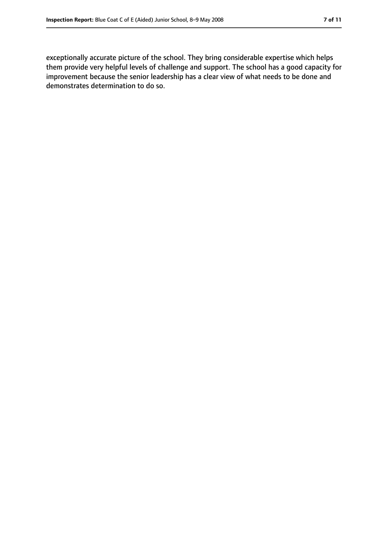exceptionally accurate picture of the school. They bring considerable expertise which helps them provide very helpful levels of challenge and support. The school has a good capacity for improvement because the senior leadership has a clear view of what needs to be done and demonstrates determination to do so.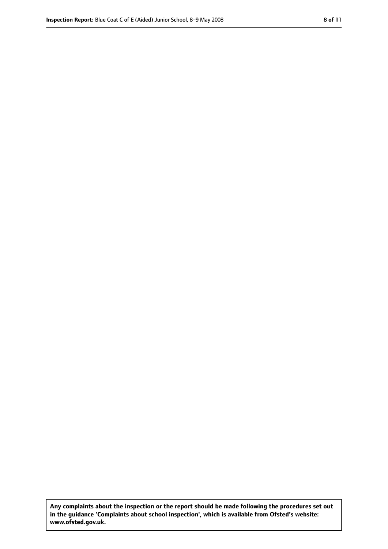**Any complaints about the inspection or the report should be made following the procedures set out in the guidance 'Complaints about school inspection', which is available from Ofsted's website: www.ofsted.gov.uk.**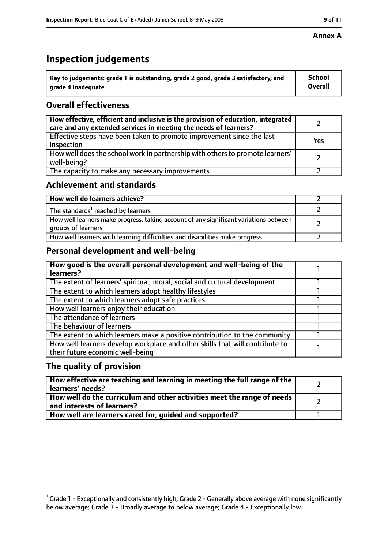# **Inspection judgements**

| $^{\backprime}$ Key to judgements: grade 1 is outstanding, grade 2 good, grade 3 satisfactory, and | School         |
|----------------------------------------------------------------------------------------------------|----------------|
| arade 4 inadequate                                                                                 | <b>Overall</b> |

## **Overall effectiveness**

| How effective, efficient and inclusive is the provision of education, integrated<br>care and any extended services in meeting the needs of learners? |     |
|------------------------------------------------------------------------------------------------------------------------------------------------------|-----|
| Effective steps have been taken to promote improvement since the last<br>inspection                                                                  | Yes |
| How well does the school work in partnership with others to promote learners'<br>well-being?                                                         |     |
| The capacity to make any necessary improvements                                                                                                      |     |

## **Achievement and standards**

| How well do learners achieve?                                                                               |  |
|-------------------------------------------------------------------------------------------------------------|--|
| The standards <sup>1</sup> reached by learners                                                              |  |
| How well learners make progress, taking account of any significant variations between<br>groups of learners |  |
| How well learners with learning difficulties and disabilities make progress                                 |  |

## **Personal development and well-being**

| How good is the overall personal development and well-being of the<br>learners?                                  |  |
|------------------------------------------------------------------------------------------------------------------|--|
| The extent of learners' spiritual, moral, social and cultural development                                        |  |
| The extent to which learners adopt healthy lifestyles                                                            |  |
| The extent to which learners adopt safe practices                                                                |  |
| How well learners enjoy their education                                                                          |  |
| The attendance of learners                                                                                       |  |
| The behaviour of learners                                                                                        |  |
| The extent to which learners make a positive contribution to the community                                       |  |
| How well learners develop workplace and other skills that will contribute to<br>their future economic well-being |  |

## **The quality of provision**

| How effective are teaching and learning in meeting the full range of the<br>learners' needs?          |  |
|-------------------------------------------------------------------------------------------------------|--|
| How well do the curriculum and other activities meet the range of needs<br>and interests of learners? |  |
| How well are learners cared for, guided and supported?                                                |  |

 $^1$  Grade 1 - Exceptionally and consistently high; Grade 2 - Generally above average with none significantly below average; Grade 3 - Broadly average to below average; Grade 4 - Exceptionally low.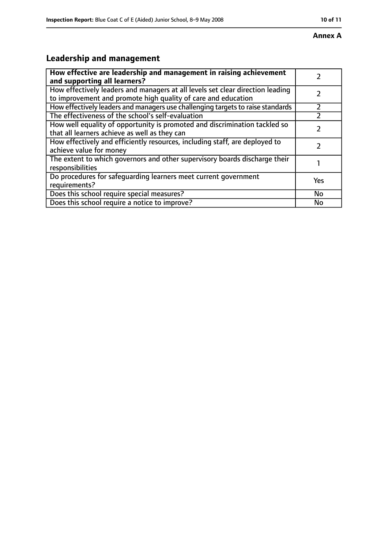#### **Annex A**

# **Leadership and management**

| How effective are leadership and management in raising achievement<br>and supporting all learners?                                              |           |
|-------------------------------------------------------------------------------------------------------------------------------------------------|-----------|
| How effectively leaders and managers at all levels set clear direction leading<br>to improvement and promote high quality of care and education |           |
| How effectively leaders and managers use challenging targets to raise standards                                                                 |           |
| The effectiveness of the school's self-evaluation                                                                                               |           |
| How well equality of opportunity is promoted and discrimination tackled so<br>that all learners achieve as well as they can                     |           |
| How effectively and efficiently resources, including staff, are deployed to<br>achieve value for money                                          |           |
| The extent to which governors and other supervisory boards discharge their<br>responsibilities                                                  |           |
| Do procedures for safequarding learners meet current government<br>requirements?                                                                | Yes       |
| Does this school require special measures?                                                                                                      | <b>No</b> |
| Does this school require a notice to improve?                                                                                                   | No        |